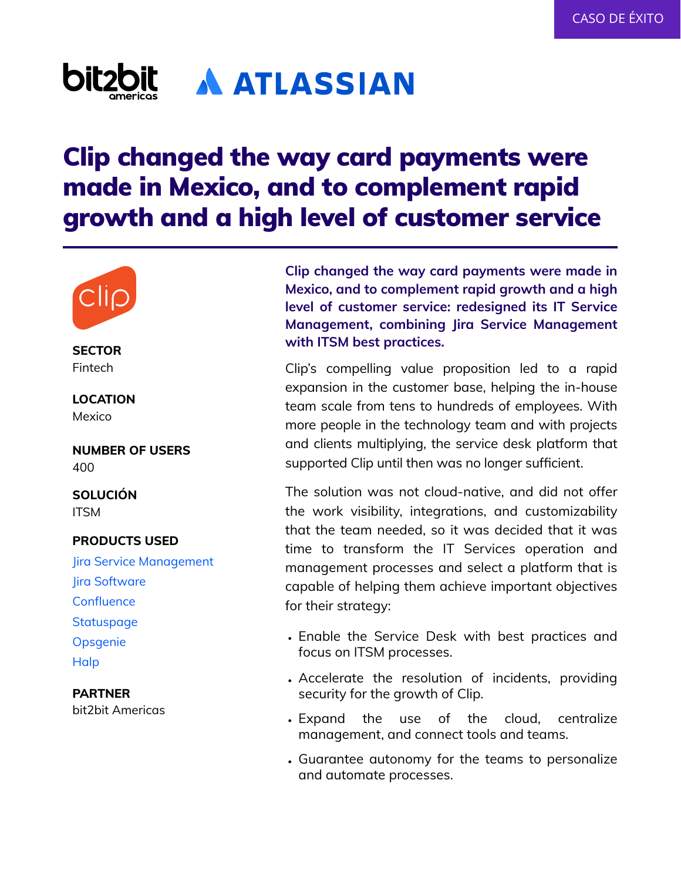## **bitz A ATLASSIAN**

# Clip changed the way card payments were made in Mexico, and to complement rapid growth and a high level of customer service



Fintech

**LOCATION** Mexico

**NUMBER OF USERS** 400

**SOLUCIÓN** ITSM

### **PRODUCTS USED**

Jira Service Management Jira Software **Confluence Statuspage Opsgenie Halp** 

**PARTNER** bit2bit Americas

**Clip changed the way card payments were made in Mexico, and to complement rapid growth and a high level of customer service: redesigned its IT Service Management, combining Jira Service Management with ITSM best practices. SECTOR**

> Clip's compelling value proposition led to a rapid expansion in the customer base, helping the in-house team scale from tens to hundreds of employees. With more people in the technology team and with projects and clients multiplying, the service desk platform that supported Clip until then was no longer sufficient.

> The solution was not cloud-native, and did not offer the work visibility, integrations, and customizability that the team needed, so it was decided that it was time to transform the IT Services operation and management processes and select a platform that is capable of helping them achieve important objectives for their strategy:

- Enable the Service Desk with best practices and focus on ITSM processes.
- Accelerate the resolution of incidents, providing security for the growth of Clip.
- Expand the use of the cloud, centralize management, and connect tools and teams.
- Guarantee autonomy for the teams to personalize •and automate processes.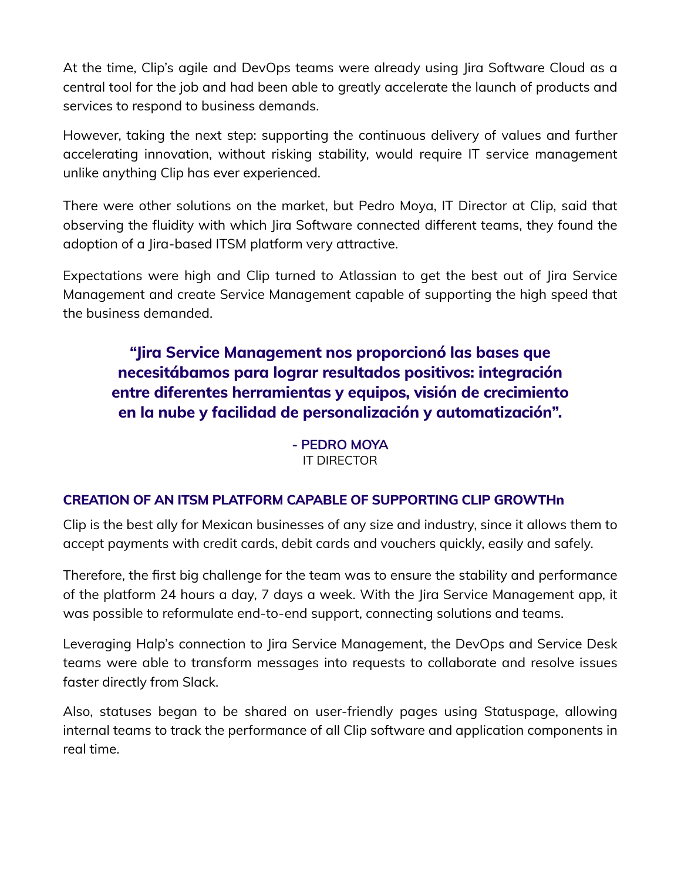At the time, Clip's agile and DevOps teams were already using Jira Software Cloud as a central tool for the job and had been able to greatly accelerate the launch of products and services to respond to business demands.

However, taking the next step: supporting the continuous delivery of values and further accelerating innovation, without risking stability, would require IT service management unlike anything Clip has ever experienced.

There were other solutions on the market, but Pedro Moya, IT Director at Clip, said that observing the fluidity with which Jira Software connected different teams, they found the adoption of a Jira-based ITSM platform very attractive.

Expectations were high and Clip turned to Atlassian to get the best out of Jira Service Management and create Service Management capable of supporting the high speed that the business demanded.

## **"Jira Service Management nos proporcionó las bases que necesitábamos para lograr resultados positivos: integración entre diferentes herramientas y equipos, visión de crecimiento en la nube y facilidad de personalización y automatización".**

**- PEDRO MOYA** IT DIRECTOR

## **CREATION OF AN ITSM PLATFORM CAPABLE OF SUPPORTING CLIP GROWTHn**

Clip is the best ally for Mexican businesses of any size and industry, since it allows them to accept payments with credit cards, debit cards and vouchers quickly, easily and safely.

Therefore, the first big challenge for the team was to ensure the stability and performance of the platform 24 hours a day, 7 days a week. With the Jira Service Management app, it was possible to reformulate end-to-end support, connecting solutions and teams.

Leveraging Halp's connection to Jira Service Management, the DevOps and Service Desk teams were able to transform messages into requests to collaborate and resolve issues faster directly from Slack.

Also, statuses began to be shared on user-friendly pages using Statuspage, allowing internal teams to track the performance of all Clip software and application components in real time.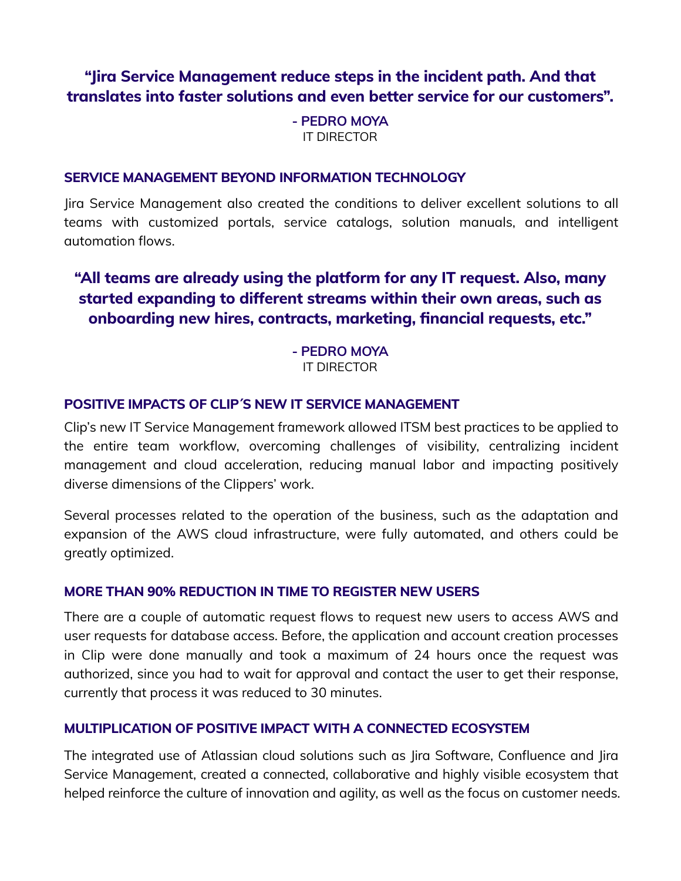## **"Jira Service Management reduce steps in the incident path. And that translates into faster solutions and even better service for our customers".**

**- PEDRO MOYA** IT DIRECTOR

#### **SERVICE MANAGEMENT BEYOND INFORMATION TECHNOLOGY**

Jira Service Management also created the conditions to deliver excellent solutions to all teams with customized portals, service catalogs, solution manuals, and intelligent automation flows.

## **"All teams are already using the platform for any IT request. Also, many started expanding to different streams within their own areas, such as onboarding new hires, contracts, marketing, financial requests, etc."**

**- PEDRO MOYA** IT DIRECTOR

### **POSITIVE IMPACTS OF CLIP´S NEW IT SERVICE MANAGEMENT**

Clip's new IT Service Management framework allowed ITSM best practices to be applied to the entire team workflow, overcoming challenges of visibility, centralizing incident management and cloud acceleration, reducing manual labor and impacting positively diverse dimensions of the Clippers' work.

Several processes related to the operation of the business, such as the adaptation and expansion of the AWS cloud infrastructure, were fully automated, and others could be greatly optimized.

#### **MORE THAN 90% REDUCTION IN TIME TO REGISTER NEW USERS**

There are a couple of automatic request flows to request new users to access AWS and user requests for database access. Before, the application and account creation processes in Clip were done manually and took a maximum of 24 hours once the request was authorized, since you had to wait for approval and contact the user to get their response, currently that process it was reduced to 30 minutes.

#### **MULTIPLICATION OF POSITIVE IMPACT WITH A CONNECTED ECOSYSTEM**

The integrated use of Atlassian cloud solutions such as Jira Software, Confluence and Jira Service Management, created a connected, collaborative and highly visible ecosystem that helped reinforce the culture of innovation and agility, as well as the focus on customer needs.